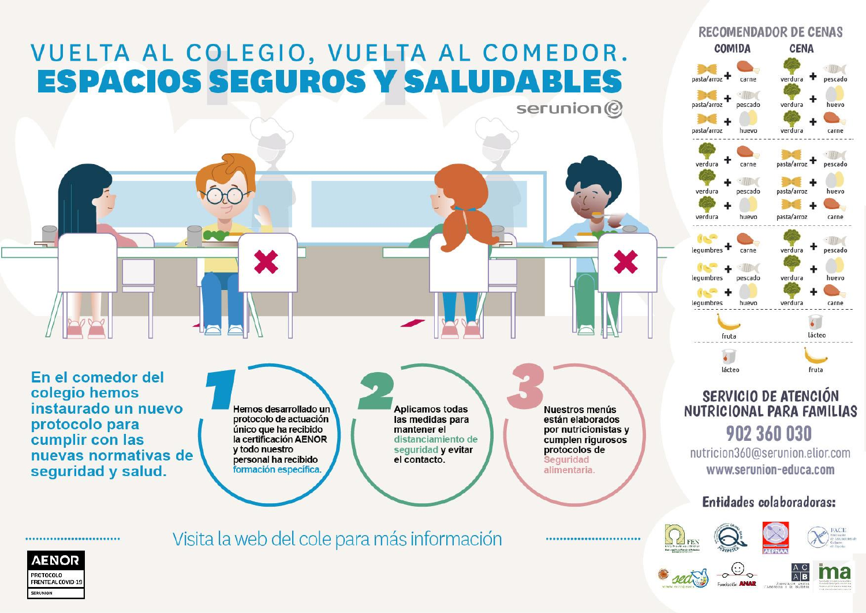